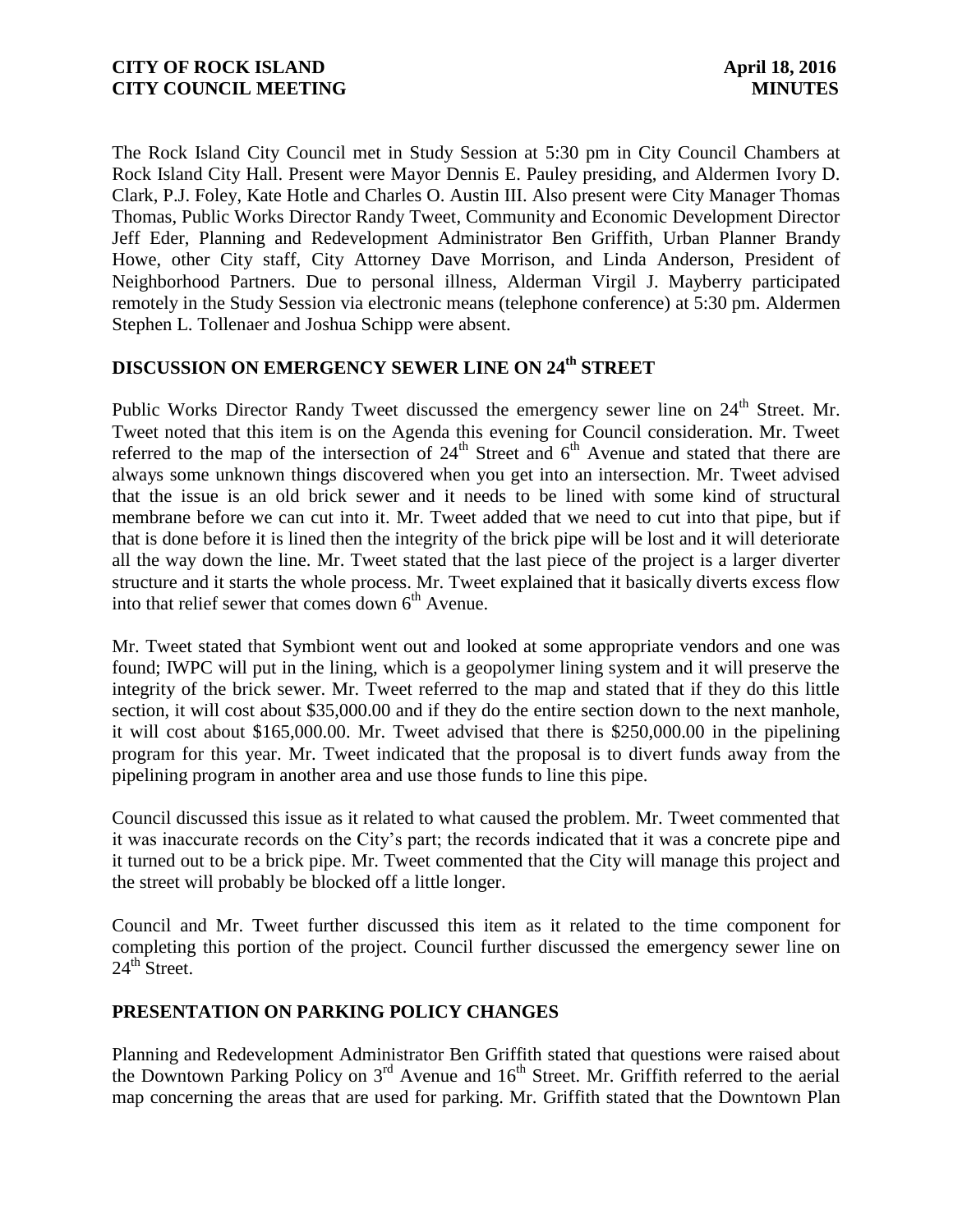The Rock Island City Council met in Study Session at 5:30 pm in City Council Chambers at Rock Island City Hall. Present were Mayor Dennis E. Pauley presiding, and Aldermen Ivory D. Clark, P.J. Foley, Kate Hotle and Charles O. Austin III. Also present were City Manager Thomas Thomas, Public Works Director Randy Tweet, Community and Economic Development Director Jeff Eder, Planning and Redevelopment Administrator Ben Griffith, Urban Planner Brandy Howe, other City staff, City Attorney Dave Morrison, and Linda Anderson, President of Neighborhood Partners. Due to personal illness, Alderman Virgil J. Mayberry participated remotely in the Study Session via electronic means (telephone conference) at 5:30 pm. Aldermen Stephen L. Tollenaer and Joshua Schipp were absent.

# **DISCUSSION ON EMERGENCY SEWER LINE ON 24th STREET**

Public Works Director Randy Tweet discussed the emergency sewer line on 24<sup>th</sup> Street. Mr. Tweet noted that this item is on the Agenda this evening for Council consideration. Mr. Tweet referred to the map of the intersection of  $24<sup>th</sup>$  Street and  $6<sup>th</sup>$  Avenue and stated that there are always some unknown things discovered when you get into an intersection. Mr. Tweet advised that the issue is an old brick sewer and it needs to be lined with some kind of structural membrane before we can cut into it. Mr. Tweet added that we need to cut into that pipe, but if that is done before it is lined then the integrity of the brick pipe will be lost and it will deteriorate all the way down the line. Mr. Tweet stated that the last piece of the project is a larger diverter structure and it starts the whole process. Mr. Tweet explained that it basically diverts excess flow into that relief sewer that comes down  $6<sup>th</sup>$  Avenue.

Mr. Tweet stated that Symbiont went out and looked at some appropriate vendors and one was found; IWPC will put in the lining, which is a geopolymer lining system and it will preserve the integrity of the brick sewer. Mr. Tweet referred to the map and stated that if they do this little section, it will cost about \$35,000.00 and if they do the entire section down to the next manhole, it will cost about \$165,000.00. Mr. Tweet advised that there is \$250,000.00 in the pipelining program for this year. Mr. Tweet indicated that the proposal is to divert funds away from the pipelining program in another area and use those funds to line this pipe.

Council discussed this issue as it related to what caused the problem. Mr. Tweet commented that it was inaccurate records on the City's part; the records indicated that it was a concrete pipe and it turned out to be a brick pipe. Mr. Tweet commented that the City will manage this project and the street will probably be blocked off a little longer.

Council and Mr. Tweet further discussed this item as it related to the time component for completing this portion of the project. Council further discussed the emergency sewer line on  $24<sup>th</sup>$  Street.

### **PRESENTATION ON PARKING POLICY CHANGES**

Planning and Redevelopment Administrator Ben Griffith stated that questions were raised about the Downtown Parking Policy on  $3<sup>rd</sup>$  Avenue and  $16<sup>th</sup>$  Street. Mr. Griffith referred to the aerial map concerning the areas that are used for parking. Mr. Griffith stated that the Downtown Plan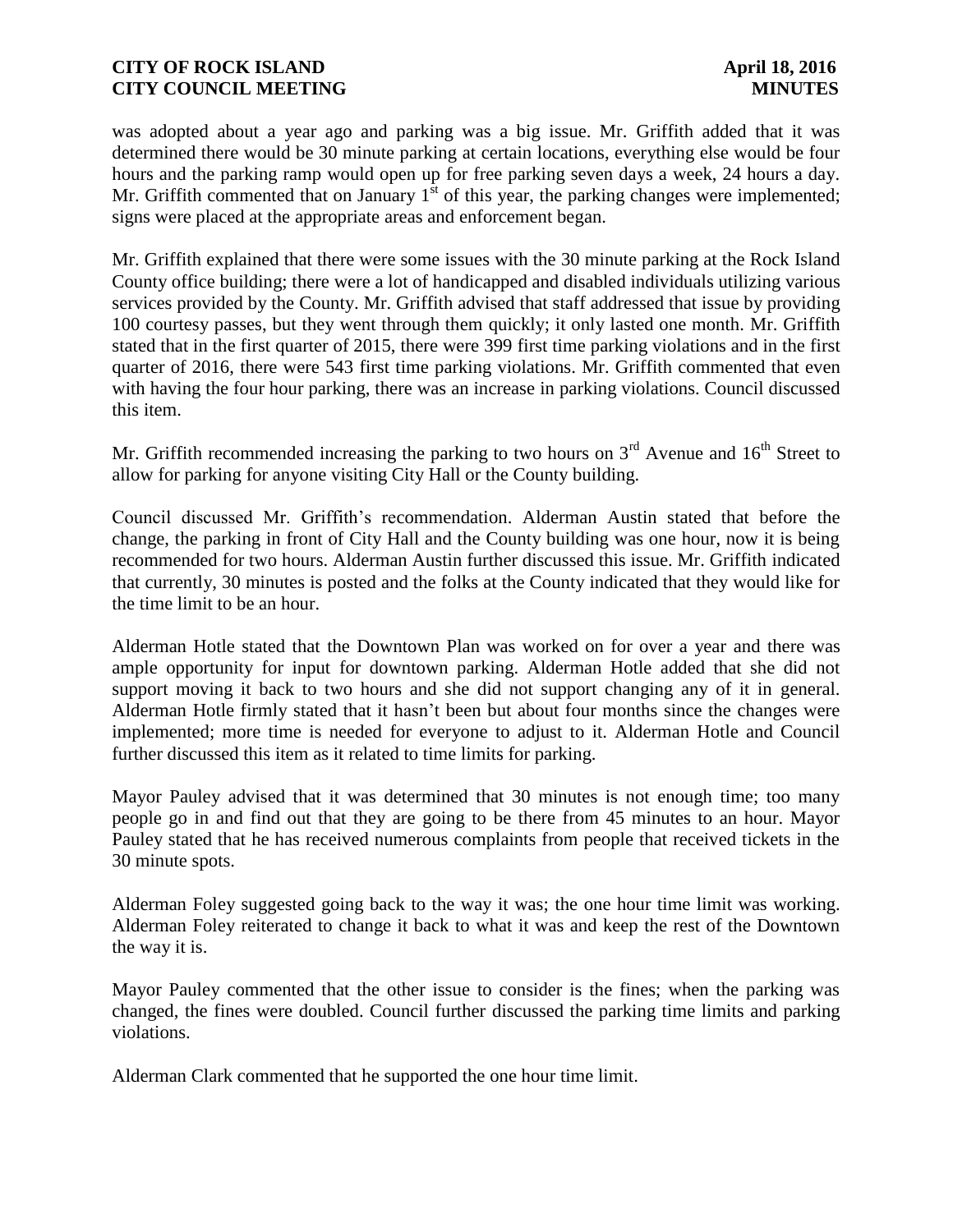was adopted about a year ago and parking was a big issue. Mr. Griffith added that it was determined there would be 30 minute parking at certain locations, everything else would be four hours and the parking ramp would open up for free parking seven days a week, 24 hours a day. Mr. Griffith commented that on January  $1<sup>st</sup>$  of this year, the parking changes were implemented; signs were placed at the appropriate areas and enforcement began.

Mr. Griffith explained that there were some issues with the 30 minute parking at the Rock Island County office building; there were a lot of handicapped and disabled individuals utilizing various services provided by the County. Mr. Griffith advised that staff addressed that issue by providing 100 courtesy passes, but they went through them quickly; it only lasted one month. Mr. Griffith stated that in the first quarter of 2015, there were 399 first time parking violations and in the first quarter of 2016, there were 543 first time parking violations. Mr. Griffith commented that even with having the four hour parking, there was an increase in parking violations. Council discussed this item.

Mr. Griffith recommended increasing the parking to two hours on  $3<sup>rd</sup>$  Avenue and  $16<sup>th</sup>$  Street to allow for parking for anyone visiting City Hall or the County building.

Council discussed Mr. Griffith's recommendation. Alderman Austin stated that before the change, the parking in front of City Hall and the County building was one hour, now it is being recommended for two hours. Alderman Austin further discussed this issue. Mr. Griffith indicated that currently, 30 minutes is posted and the folks at the County indicated that they would like for the time limit to be an hour.

Alderman Hotle stated that the Downtown Plan was worked on for over a year and there was ample opportunity for input for downtown parking. Alderman Hotle added that she did not support moving it back to two hours and she did not support changing any of it in general. Alderman Hotle firmly stated that it hasn't been but about four months since the changes were implemented; more time is needed for everyone to adjust to it. Alderman Hotle and Council further discussed this item as it related to time limits for parking.

Mayor Pauley advised that it was determined that 30 minutes is not enough time; too many people go in and find out that they are going to be there from 45 minutes to an hour. Mayor Pauley stated that he has received numerous complaints from people that received tickets in the 30 minute spots.

Alderman Foley suggested going back to the way it was; the one hour time limit was working. Alderman Foley reiterated to change it back to what it was and keep the rest of the Downtown the way it is.

Mayor Pauley commented that the other issue to consider is the fines; when the parking was changed, the fines were doubled. Council further discussed the parking time limits and parking violations.

Alderman Clark commented that he supported the one hour time limit.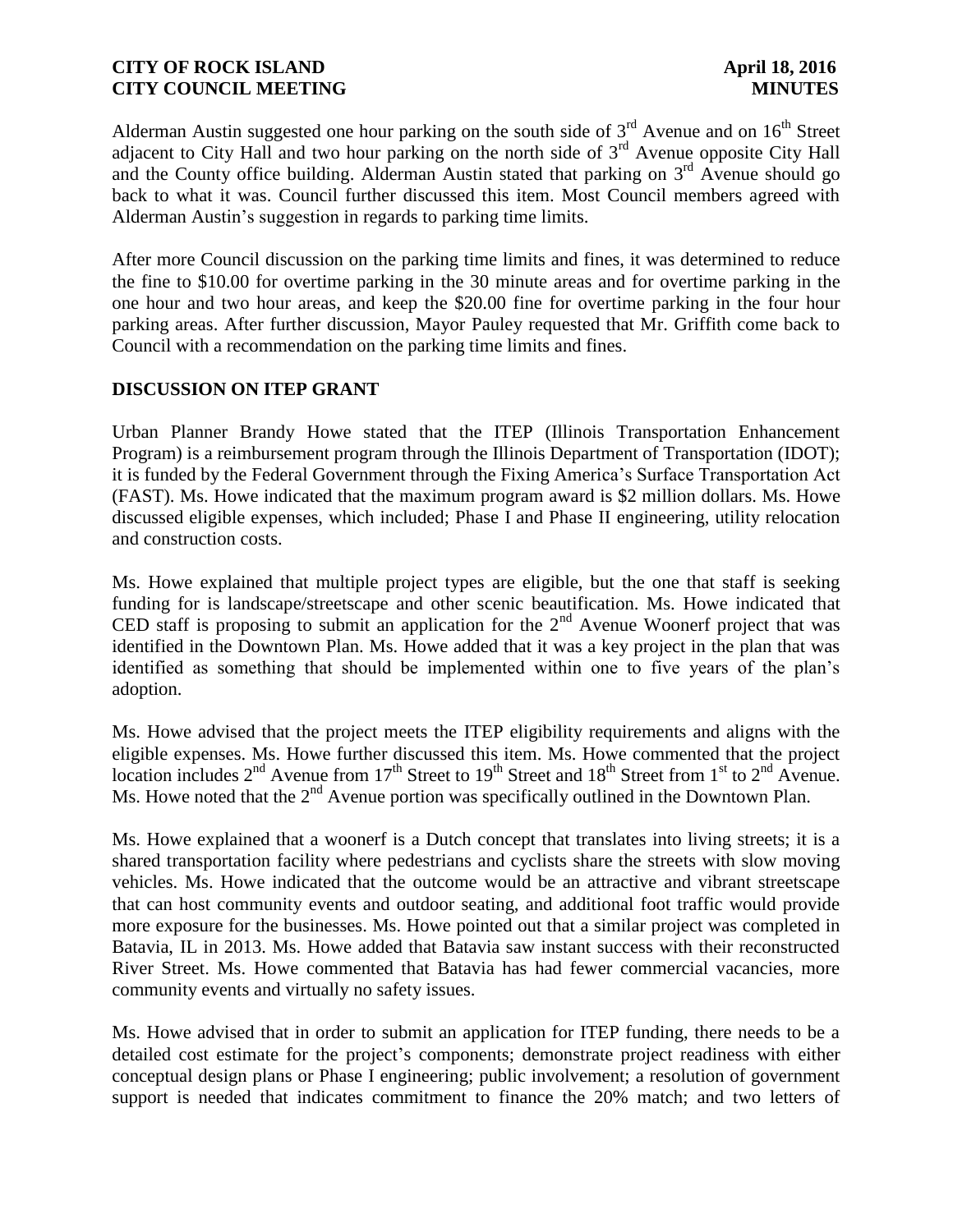Alderman Austin suggested one hour parking on the south side of  $3<sup>rd</sup>$  Avenue and on  $16<sup>th</sup>$  Street adjacent to City Hall and two hour parking on the north side of  $3<sup>rd</sup>$  Avenue opposite City Hall and the County office building. Alderman Austin stated that parking on  $3<sup>rd</sup>$  Avenue should go back to what it was. Council further discussed this item. Most Council members agreed with Alderman Austin's suggestion in regards to parking time limits.

After more Council discussion on the parking time limits and fines, it was determined to reduce the fine to \$10.00 for overtime parking in the 30 minute areas and for overtime parking in the one hour and two hour areas, and keep the \$20.00 fine for overtime parking in the four hour parking areas. After further discussion, Mayor Pauley requested that Mr. Griffith come back to Council with a recommendation on the parking time limits and fines.

# **DISCUSSION ON ITEP GRANT**

Urban Planner Brandy Howe stated that the ITEP (Illinois Transportation Enhancement Program) is a reimbursement program through the Illinois Department of Transportation (IDOT); it is funded by the Federal Government through the Fixing America's Surface Transportation Act (FAST). Ms. Howe indicated that the maximum program award is \$2 million dollars. Ms. Howe discussed eligible expenses, which included; Phase I and Phase II engineering, utility relocation and construction costs.

Ms. Howe explained that multiple project types are eligible, but the one that staff is seeking funding for is landscape/streetscape and other scenic beautification. Ms. Howe indicated that CED staff is proposing to submit an application for the  $2<sup>nd</sup>$  Avenue Woonerf project that was identified in the Downtown Plan. Ms. Howe added that it was a key project in the plan that was identified as something that should be implemented within one to five years of the plan's adoption.

Ms. Howe advised that the project meets the ITEP eligibility requirements and aligns with the eligible expenses. Ms. Howe further discussed this item. Ms. Howe commented that the project location includes  $2<sup>nd</sup>$  Avenue from 17<sup>th</sup> Street to 19<sup>th</sup> Street and 18<sup>th</sup> Street from 1<sup>st</sup> to  $2<sup>nd</sup>$  Avenue. Ms. Howe noted that the  $2<sup>nd</sup>$  Avenue portion was specifically outlined in the Downtown Plan.

Ms. Howe explained that a woonerf is a Dutch concept that translates into living streets; it is a shared transportation facility where pedestrians and cyclists share the streets with slow moving vehicles. Ms. Howe indicated that the outcome would be an attractive and vibrant streetscape that can host community events and outdoor seating, and additional foot traffic would provide more exposure for the businesses. Ms. Howe pointed out that a similar project was completed in Batavia, IL in 2013. Ms. Howe added that Batavia saw instant success with their reconstructed River Street. Ms. Howe commented that Batavia has had fewer commercial vacancies, more community events and virtually no safety issues.

Ms. Howe advised that in order to submit an application for ITEP funding, there needs to be a detailed cost estimate for the project's components; demonstrate project readiness with either conceptual design plans or Phase I engineering; public involvement; a resolution of government support is needed that indicates commitment to finance the 20% match; and two letters of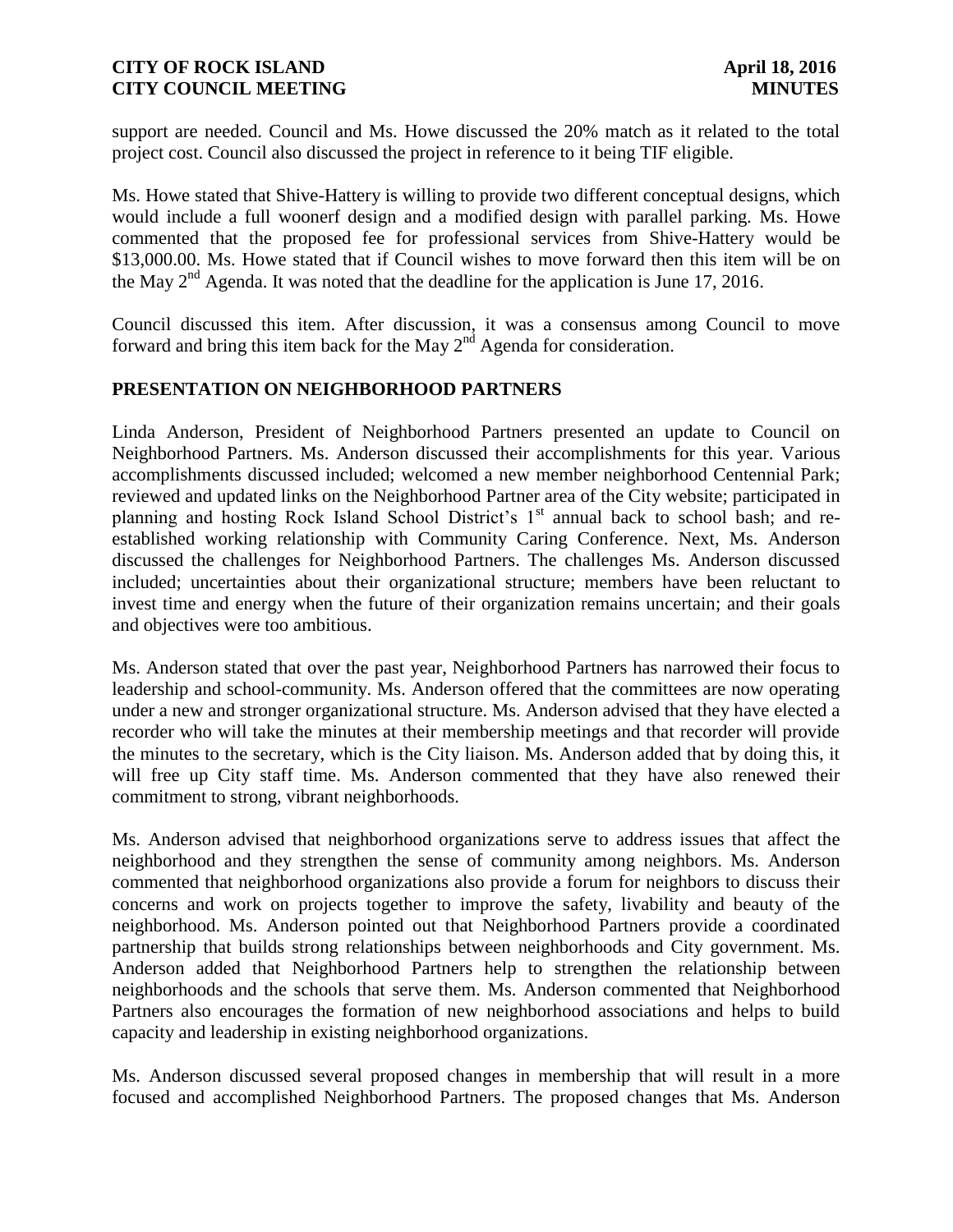support are needed. Council and Ms. Howe discussed the 20% match as it related to the total project cost. Council also discussed the project in reference to it being TIF eligible.

Ms. Howe stated that Shive-Hattery is willing to provide two different conceptual designs, which would include a full woonerf design and a modified design with parallel parking. Ms. Howe commented that the proposed fee for professional services from Shive-Hattery would be \$13,000.00. Ms. Howe stated that if Council wishes to move forward then this item will be on the May  $2<sup>nd</sup>$  Agenda. It was noted that the deadline for the application is June 17, 2016.

Council discussed this item. After discussion, it was a consensus among Council to move forward and bring this item back for the May  $2<sup>nd</sup>$  Agenda for consideration.

# **PRESENTATION ON NEIGHBORHOOD PARTNERS**

Linda Anderson, President of Neighborhood Partners presented an update to Council on Neighborhood Partners. Ms. Anderson discussed their accomplishments for this year. Various accomplishments discussed included; welcomed a new member neighborhood Centennial Park; reviewed and updated links on the Neighborhood Partner area of the City website; participated in planning and hosting Rock Island School District's  $1<sup>st</sup>$  annual back to school bash; and reestablished working relationship with Community Caring Conference. Next, Ms. Anderson discussed the challenges for Neighborhood Partners. The challenges Ms. Anderson discussed included; uncertainties about their organizational structure; members have been reluctant to invest time and energy when the future of their organization remains uncertain; and their goals and objectives were too ambitious.

Ms. Anderson stated that over the past year, Neighborhood Partners has narrowed their focus to leadership and school-community. Ms. Anderson offered that the committees are now operating under a new and stronger organizational structure. Ms. Anderson advised that they have elected a recorder who will take the minutes at their membership meetings and that recorder will provide the minutes to the secretary, which is the City liaison. Ms. Anderson added that by doing this, it will free up City staff time. Ms. Anderson commented that they have also renewed their commitment to strong, vibrant neighborhoods.

Ms. Anderson advised that neighborhood organizations serve to address issues that affect the neighborhood and they strengthen the sense of community among neighbors. Ms. Anderson commented that neighborhood organizations also provide a forum for neighbors to discuss their concerns and work on projects together to improve the safety, livability and beauty of the neighborhood. Ms. Anderson pointed out that Neighborhood Partners provide a coordinated partnership that builds strong relationships between neighborhoods and City government. Ms. Anderson added that Neighborhood Partners help to strengthen the relationship between neighborhoods and the schools that serve them. Ms. Anderson commented that Neighborhood Partners also encourages the formation of new neighborhood associations and helps to build capacity and leadership in existing neighborhood organizations.

Ms. Anderson discussed several proposed changes in membership that will result in a more focused and accomplished Neighborhood Partners. The proposed changes that Ms. Anderson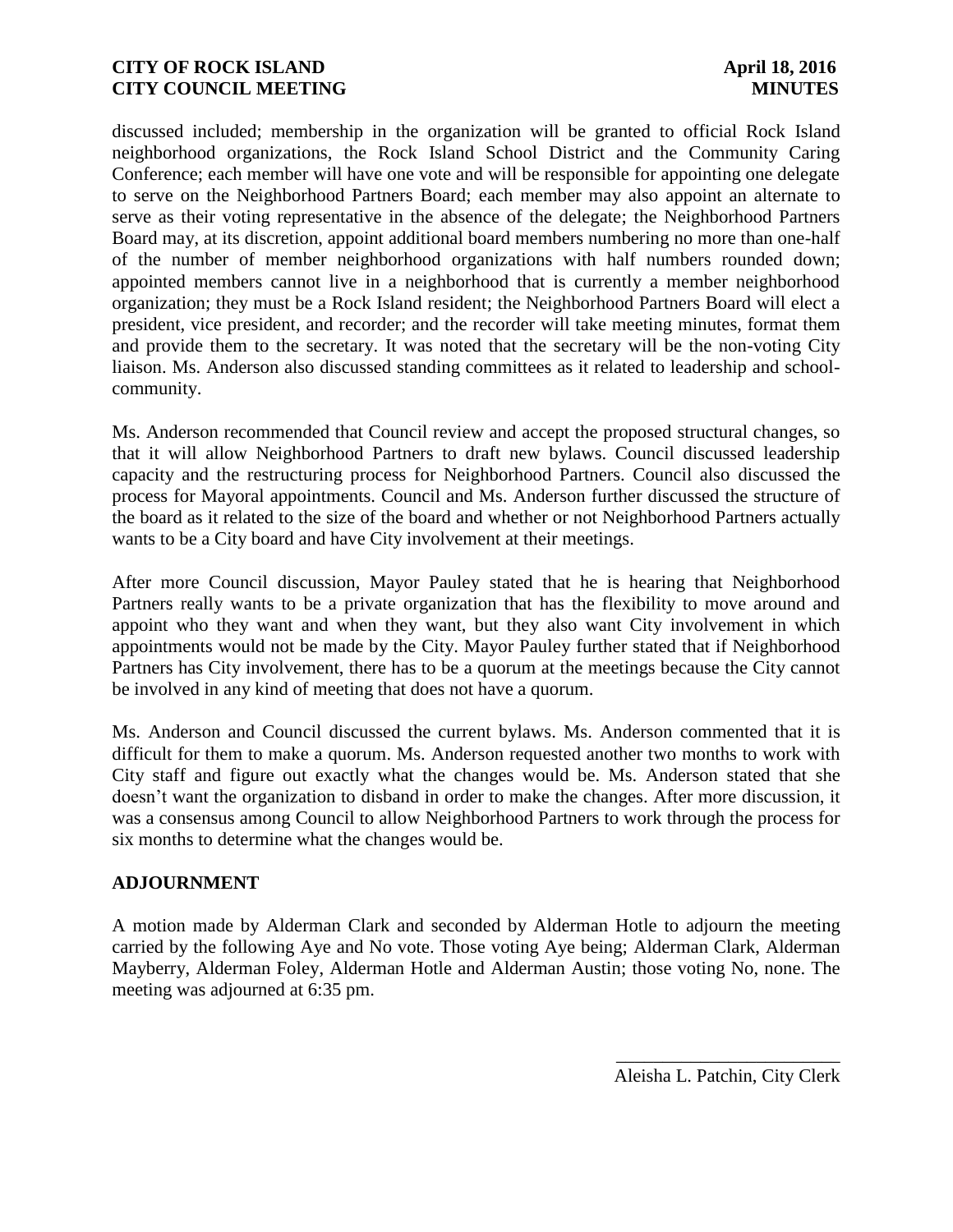discussed included; membership in the organization will be granted to official Rock Island neighborhood organizations, the Rock Island School District and the Community Caring Conference; each member will have one vote and will be responsible for appointing one delegate to serve on the Neighborhood Partners Board; each member may also appoint an alternate to serve as their voting representative in the absence of the delegate; the Neighborhood Partners Board may, at its discretion, appoint additional board members numbering no more than one-half of the number of member neighborhood organizations with half numbers rounded down; appointed members cannot live in a neighborhood that is currently a member neighborhood organization; they must be a Rock Island resident; the Neighborhood Partners Board will elect a president, vice president, and recorder; and the recorder will take meeting minutes, format them and provide them to the secretary. It was noted that the secretary will be the non-voting City liaison. Ms. Anderson also discussed standing committees as it related to leadership and schoolcommunity.

Ms. Anderson recommended that Council review and accept the proposed structural changes, so that it will allow Neighborhood Partners to draft new bylaws. Council discussed leadership capacity and the restructuring process for Neighborhood Partners. Council also discussed the process for Mayoral appointments. Council and Ms. Anderson further discussed the structure of the board as it related to the size of the board and whether or not Neighborhood Partners actually wants to be a City board and have City involvement at their meetings.

After more Council discussion, Mayor Pauley stated that he is hearing that Neighborhood Partners really wants to be a private organization that has the flexibility to move around and appoint who they want and when they want, but they also want City involvement in which appointments would not be made by the City. Mayor Pauley further stated that if Neighborhood Partners has City involvement, there has to be a quorum at the meetings because the City cannot be involved in any kind of meeting that does not have a quorum.

Ms. Anderson and Council discussed the current bylaws. Ms. Anderson commented that it is difficult for them to make a quorum. Ms. Anderson requested another two months to work with City staff and figure out exactly what the changes would be. Ms. Anderson stated that she doesn't want the organization to disband in order to make the changes. After more discussion, it was a consensus among Council to allow Neighborhood Partners to work through the process for six months to determine what the changes would be.

### **ADJOURNMENT**

A motion made by Alderman Clark and seconded by Alderman Hotle to adjourn the meeting carried by the following Aye and No vote. Those voting Aye being; Alderman Clark, Alderman Mayberry, Alderman Foley, Alderman Hotle and Alderman Austin; those voting No, none. The meeting was adjourned at 6:35 pm.

\_\_\_\_\_\_\_\_\_\_\_\_\_\_\_\_\_\_\_\_\_\_\_\_ Aleisha L. Patchin, City Clerk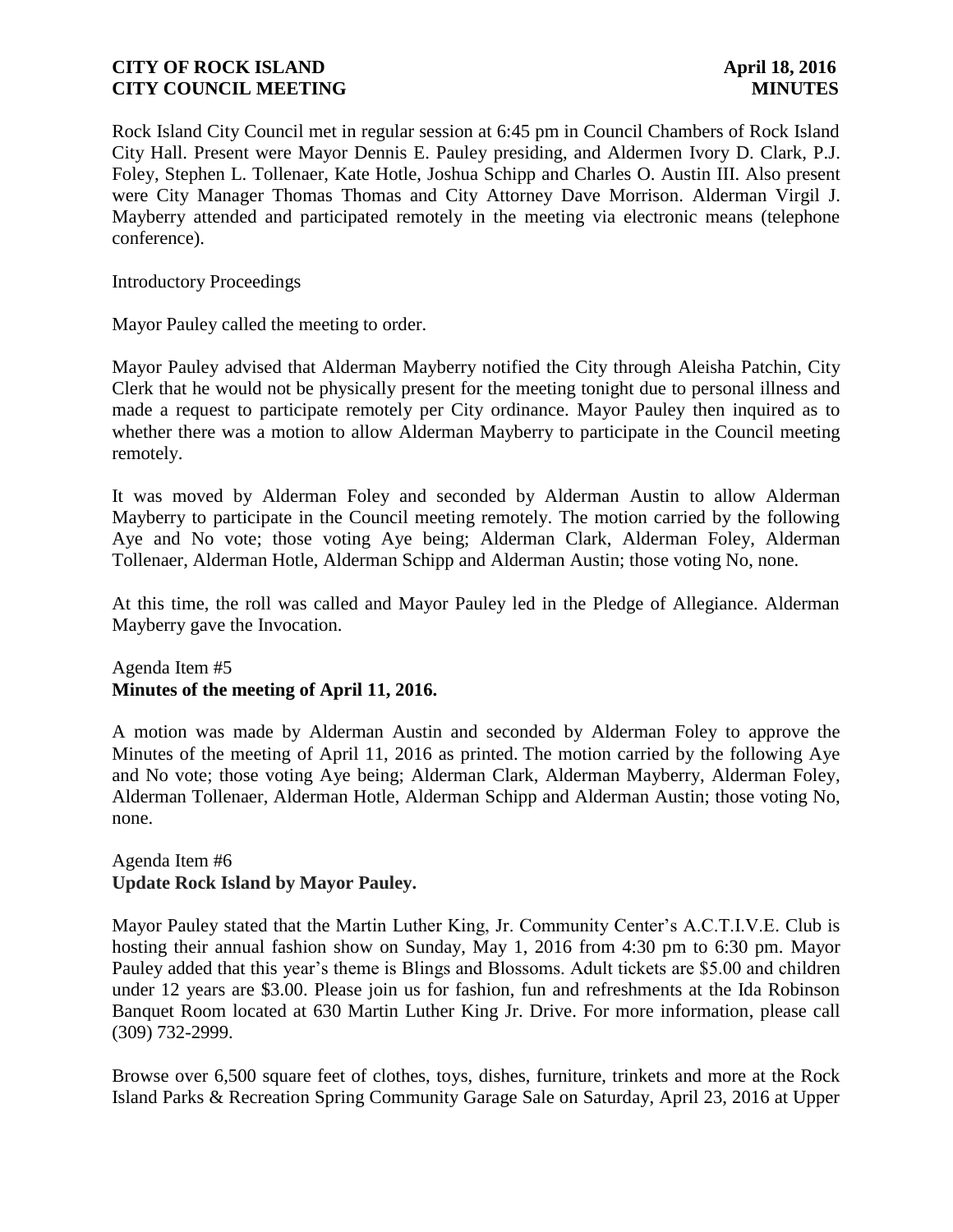Rock Island City Council met in regular session at 6:45 pm in Council Chambers of Rock Island City Hall. Present were Mayor Dennis E. Pauley presiding, and Aldermen Ivory D. Clark, P.J. Foley, Stephen L. Tollenaer, Kate Hotle, Joshua Schipp and Charles O. Austin III. Also present were City Manager Thomas Thomas and City Attorney Dave Morrison. Alderman Virgil J. Mayberry attended and participated remotely in the meeting via electronic means (telephone conference).

Introductory Proceedings

Mayor Pauley called the meeting to order.

Mayor Pauley advised that Alderman Mayberry notified the City through Aleisha Patchin, City Clerk that he would not be physically present for the meeting tonight due to personal illness and made a request to participate remotely per City ordinance. Mayor Pauley then inquired as to whether there was a motion to allow Alderman Mayberry to participate in the Council meeting remotely.

It was moved by Alderman Foley and seconded by Alderman Austin to allow Alderman Mayberry to participate in the Council meeting remotely. The motion carried by the following Aye and No vote; those voting Aye being; Alderman Clark, Alderman Foley, Alderman Tollenaer, Alderman Hotle, Alderman Schipp and Alderman Austin; those voting No, none.

At this time, the roll was called and Mayor Pauley led in the Pledge of Allegiance. Alderman Mayberry gave the Invocation.

Agenda Item #5 **Minutes of the meeting of April 11, 2016.** 

A motion was made by Alderman Austin and seconded by Alderman Foley to approve the Minutes of the meeting of April 11, 2016 as printed. The motion carried by the following Aye and No vote; those voting Aye being; Alderman Clark, Alderman Mayberry, Alderman Foley, Alderman Tollenaer, Alderman Hotle, Alderman Schipp and Alderman Austin; those voting No, none.

### Agenda Item #6 **Update Rock Island by Mayor Pauley.**

Mayor Pauley stated that the Martin Luther King, Jr. Community Center's A.C.T.I.V.E. Club is hosting their annual fashion show on Sunday, May 1, 2016 from 4:30 pm to 6:30 pm. Mayor Pauley added that this year's theme is Blings and Blossoms. Adult tickets are \$5.00 and children under 12 years are \$3.00. Please join us for fashion, fun and refreshments at the Ida Robinson Banquet Room located at 630 Martin Luther King Jr. Drive. For more information, please call (309) 732-2999.

Browse over 6,500 square feet of clothes, toys, dishes, furniture, trinkets and more at the Rock Island Parks & Recreation Spring Community Garage Sale on Saturday, April 23, 2016 at Upper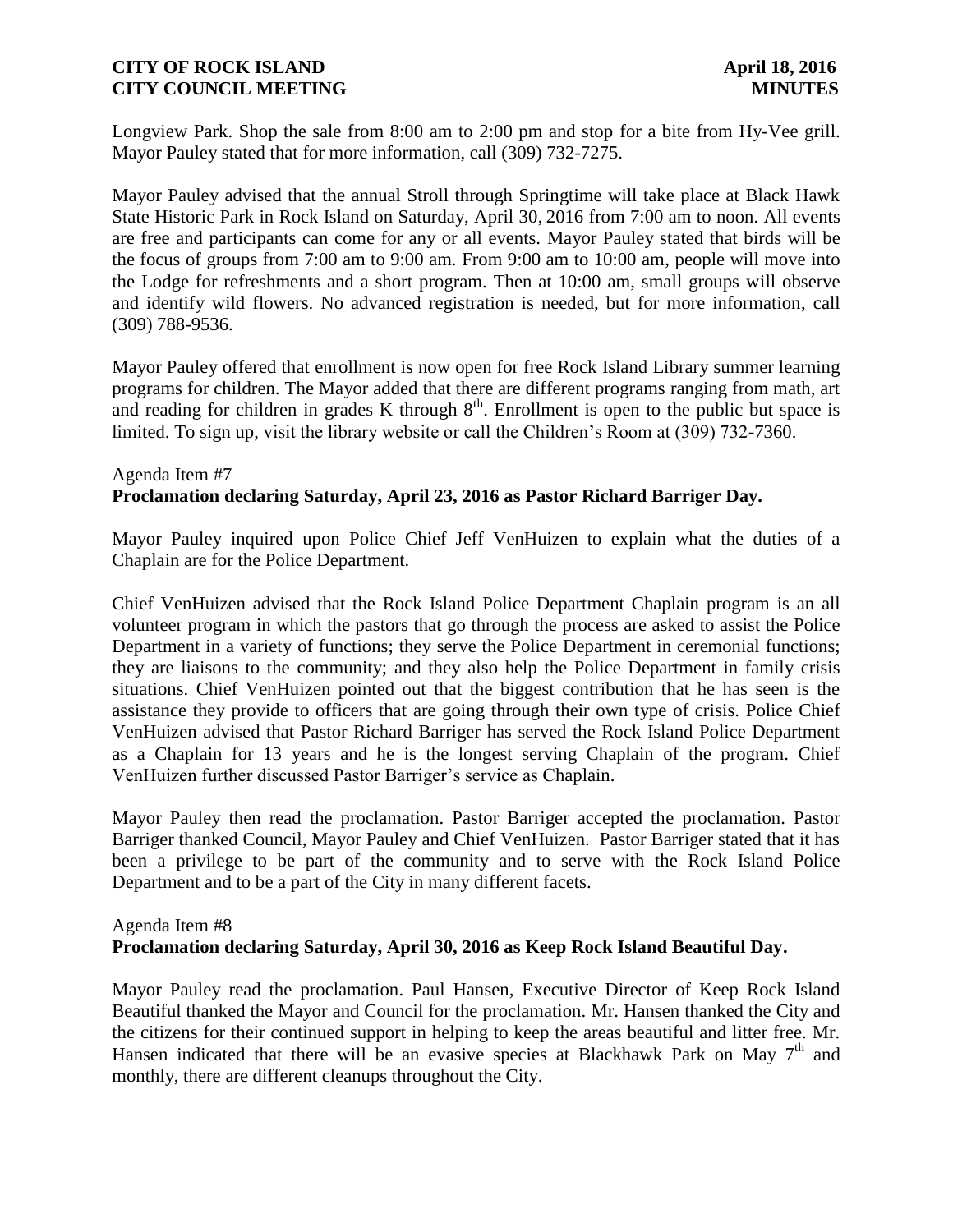Longview Park. Shop the sale from 8:00 am to 2:00 pm and stop for a bite from Hy-Vee grill. Mayor Pauley stated that for more information, call (309) 732-7275.

Mayor Pauley advised that the annual Stroll through Springtime will take place at Black Hawk State Historic Park in Rock Island on Saturday, April 30, 2016 from 7:00 am to noon. All events are free and participants can come for any or all events. Mayor Pauley stated that birds will be the focus of groups from 7:00 am to 9:00 am. From 9:00 am to 10:00 am, people will move into the Lodge for refreshments and a short program. Then at 10:00 am, small groups will observe and identify wild flowers. No advanced registration is needed, but for more information, call (309) 788-9536.

Mayor Pauley offered that enrollment is now open for free Rock Island Library summer learning programs for children. The Mayor added that there are different programs ranging from math, art and reading for children in grades K through  $8<sup>th</sup>$ . Enrollment is open to the public but space is limited. To sign up, visit the library website or call the Children's Room at (309) 732-7360.

# Agenda Item #7 **Proclamation declaring Saturday, April 23, 2016 as Pastor Richard Barriger Day.**

Mayor Pauley inquired upon Police Chief Jeff VenHuizen to explain what the duties of a Chaplain are for the Police Department.

Chief VenHuizen advised that the Rock Island Police Department Chaplain program is an all volunteer program in which the pastors that go through the process are asked to assist the Police Department in a variety of functions; they serve the Police Department in ceremonial functions; they are liaisons to the community; and they also help the Police Department in family crisis situations. Chief VenHuizen pointed out that the biggest contribution that he has seen is the assistance they provide to officers that are going through their own type of crisis. Police Chief VenHuizen advised that Pastor Richard Barriger has served the Rock Island Police Department as a Chaplain for 13 years and he is the longest serving Chaplain of the program. Chief VenHuizen further discussed Pastor Barriger's service as Chaplain.

Mayor Pauley then read the proclamation. Pastor Barriger accepted the proclamation. Pastor Barriger thanked Council, Mayor Pauley and Chief VenHuizen. Pastor Barriger stated that it has been a privilege to be part of the community and to serve with the Rock Island Police Department and to be a part of the City in many different facets.

# Agenda Item #8

### **Proclamation declaring Saturday, April 30, 2016 as Keep Rock Island Beautiful Day.**

Mayor Pauley read the proclamation. Paul Hansen, Executive Director of Keep Rock Island Beautiful thanked the Mayor and Council for the proclamation. Mr. Hansen thanked the City and the citizens for their continued support in helping to keep the areas beautiful and litter free. Mr. Hansen indicated that there will be an evasive species at Blackhawk Park on May  $7<sup>th</sup>$  and monthly, there are different cleanups throughout the City.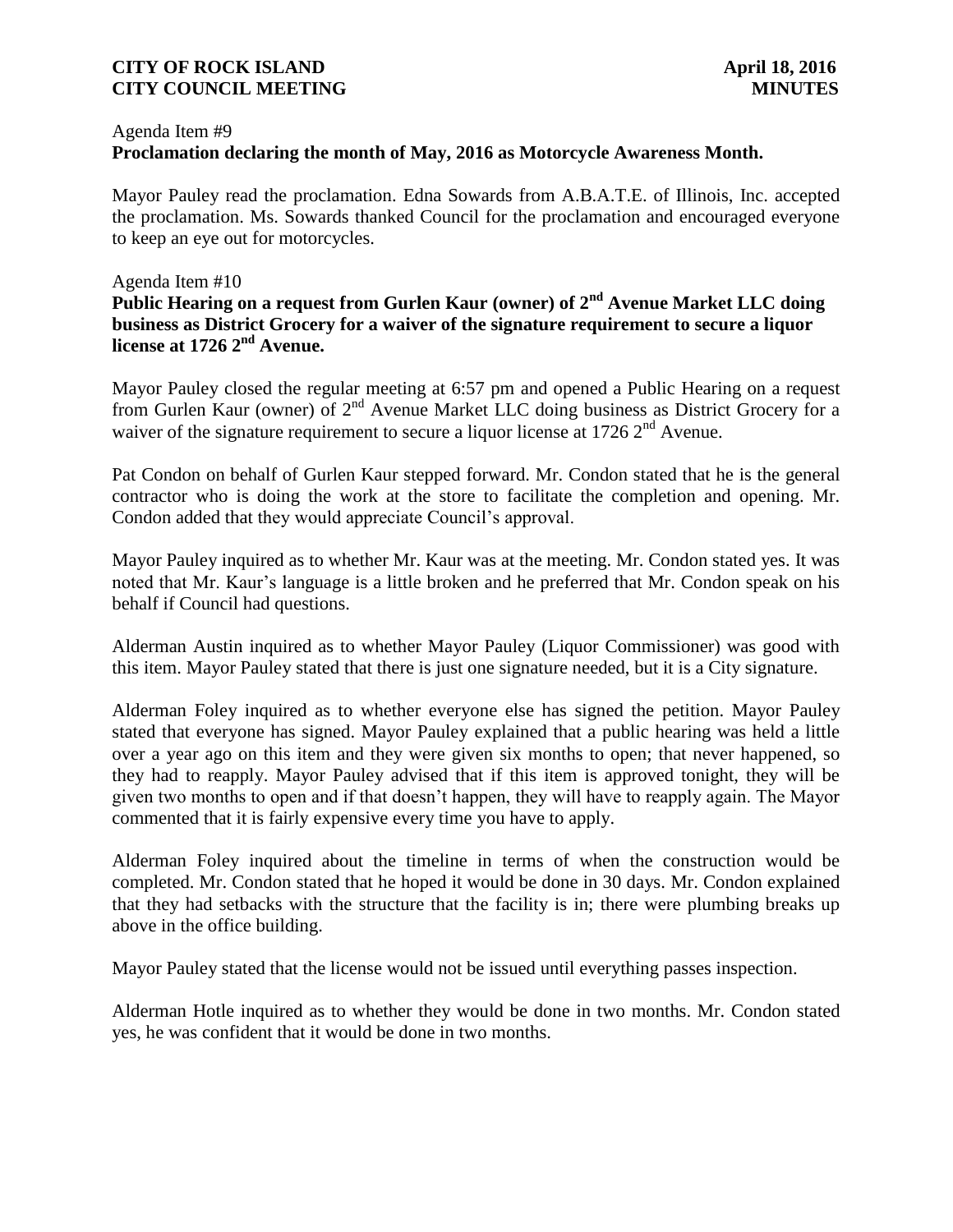### Agenda Item #9

### **Proclamation declaring the month of May, 2016 as Motorcycle Awareness Month.**

Mayor Pauley read the proclamation. Edna Sowards from A.B.A.T.E. of Illinois, Inc. accepted the proclamation. Ms. Sowards thanked Council for the proclamation and encouraged everyone to keep an eye out for motorcycles.

#### Agenda Item #10

# **Public Hearing on a request from Gurlen Kaur (owner) of 2nd Avenue Market LLC doing business as District Grocery for a waiver of the signature requirement to secure a liquor license at 1726 2nd Avenue.**

Mayor Pauley closed the regular meeting at 6:57 pm and opened a Public Hearing on a request from Gurlen Kaur (owner) of 2<sup>nd</sup> Avenue Market LLC doing business as District Grocery for a waiver of the signature requirement to secure a liquor license at 1726  $2<sup>nd</sup>$  Avenue.

Pat Condon on behalf of Gurlen Kaur stepped forward. Mr. Condon stated that he is the general contractor who is doing the work at the store to facilitate the completion and opening. Mr. Condon added that they would appreciate Council's approval.

Mayor Pauley inquired as to whether Mr. Kaur was at the meeting. Mr. Condon stated yes. It was noted that Mr. Kaur's language is a little broken and he preferred that Mr. Condon speak on his behalf if Council had questions.

Alderman Austin inquired as to whether Mayor Pauley (Liquor Commissioner) was good with this item. Mayor Pauley stated that there is just one signature needed, but it is a City signature.

Alderman Foley inquired as to whether everyone else has signed the petition. Mayor Pauley stated that everyone has signed. Mayor Pauley explained that a public hearing was held a little over a year ago on this item and they were given six months to open; that never happened, so they had to reapply. Mayor Pauley advised that if this item is approved tonight, they will be given two months to open and if that doesn't happen, they will have to reapply again. The Mayor commented that it is fairly expensive every time you have to apply.

Alderman Foley inquired about the timeline in terms of when the construction would be completed. Mr. Condon stated that he hoped it would be done in 30 days. Mr. Condon explained that they had setbacks with the structure that the facility is in; there were plumbing breaks up above in the office building.

Mayor Pauley stated that the license would not be issued until everything passes inspection.

Alderman Hotle inquired as to whether they would be done in two months. Mr. Condon stated yes, he was confident that it would be done in two months.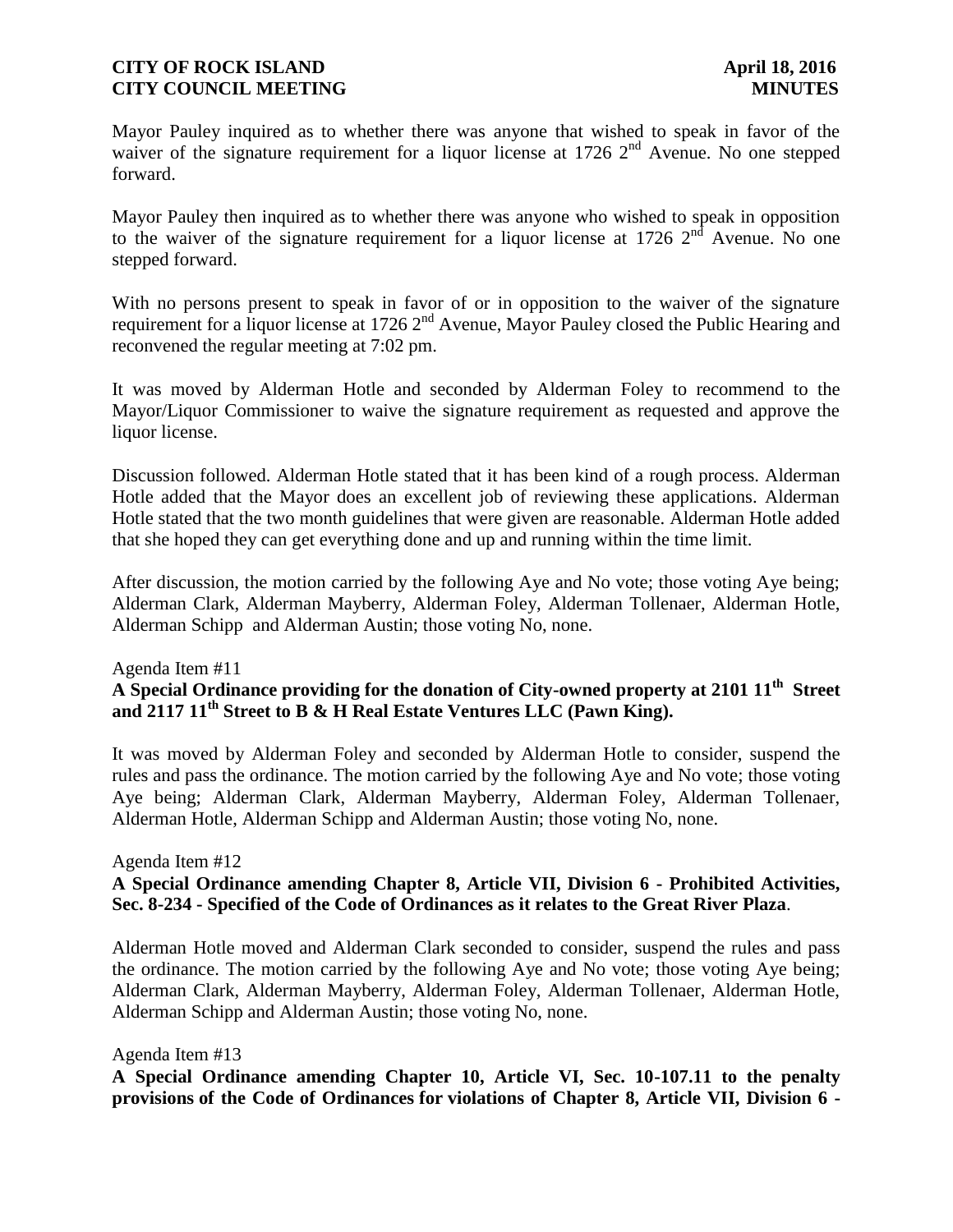Mayor Pauley inquired as to whether there was anyone that wished to speak in favor of the waiver of the signature requirement for a liquor license at 1726  $2<sup>nd</sup>$  Avenue. No one stepped forward.

Mayor Pauley then inquired as to whether there was anyone who wished to speak in opposition to the waiver of the signature requirement for a liquor license at 1726  $2<sup>nd</sup>$  Avenue. No one stepped forward.

With no persons present to speak in favor of or in opposition to the waiver of the signature requirement for a liquor license at 1726 2<sup>nd</sup> Avenue, Mayor Pauley closed the Public Hearing and reconvened the regular meeting at 7:02 pm.

It was moved by Alderman Hotle and seconded by Alderman Foley to recommend to the Mayor/Liquor Commissioner to waive the signature requirement as requested and approve the liquor license.

Discussion followed. Alderman Hotle stated that it has been kind of a rough process. Alderman Hotle added that the Mayor does an excellent job of reviewing these applications. Alderman Hotle stated that the two month guidelines that were given are reasonable. Alderman Hotle added that she hoped they can get everything done and up and running within the time limit.

After discussion, the motion carried by the following Aye and No vote; those voting Aye being; Alderman Clark, Alderman Mayberry, Alderman Foley, Alderman Tollenaer, Alderman Hotle, Alderman Schipp and Alderman Austin; those voting No, none.

#### Agenda Item #11

# **A Special Ordinance providing for the donation of City-owned property at 2101 11th Street and 2117 11th Street to B & H Real Estate Ventures LLC (Pawn King).**

It was moved by Alderman Foley and seconded by Alderman Hotle to consider, suspend the rules and pass the ordinance. The motion carried by the following Aye and No vote; those voting Aye being; Alderman Clark, Alderman Mayberry, Alderman Foley, Alderman Tollenaer, Alderman Hotle, Alderman Schipp and Alderman Austin; those voting No, none.

Agenda Item #12

# **A Special Ordinance amending Chapter 8, Article VII, Division 6 - Prohibited Activities, Sec. 8-234 - Specified of the Code of Ordinances as it relates to the Great River Plaza**.

Alderman Hotle moved and Alderman Clark seconded to consider, suspend the rules and pass the ordinance. The motion carried by the following Aye and No vote; those voting Aye being; Alderman Clark, Alderman Mayberry, Alderman Foley, Alderman Tollenaer, Alderman Hotle, Alderman Schipp and Alderman Austin; those voting No, none.

### Agenda Item #13

**A Special Ordinance amending Chapter 10, Article VI, Sec. 10-107.11 to the penalty provisions of the Code of Ordinances for violations of Chapter 8, Article VII, Division 6 -**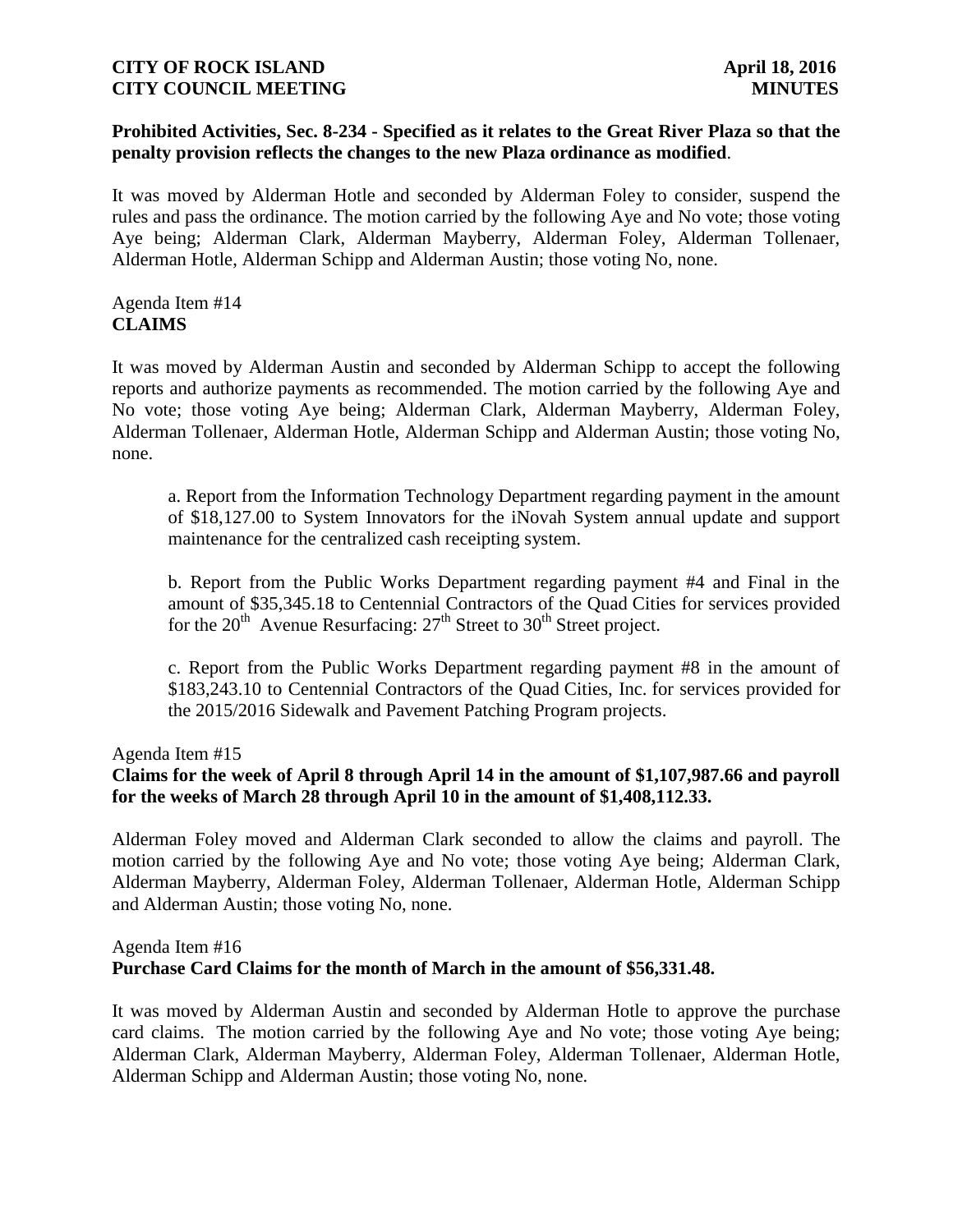### **Prohibited Activities, Sec. 8-234 - Specified as it relates to the Great River Plaza so that the penalty provision reflects the changes to the new Plaza ordinance as modified**.

It was moved by Alderman Hotle and seconded by Alderman Foley to consider, suspend the rules and pass the ordinance. The motion carried by the following Aye and No vote; those voting Aye being; Alderman Clark, Alderman Mayberry, Alderman Foley, Alderman Tollenaer, Alderman Hotle, Alderman Schipp and Alderman Austin; those voting No, none.

# Agenda Item #14 **CLAIMS**

It was moved by Alderman Austin and seconded by Alderman Schipp to accept the following reports and authorize payments as recommended. The motion carried by the following Aye and No vote; those voting Aye being; Alderman Clark, Alderman Mayberry, Alderman Foley, Alderman Tollenaer, Alderman Hotle, Alderman Schipp and Alderman Austin; those voting No, none.

a. Report from the Information Technology Department regarding payment in the amount of \$18,127.00 to System Innovators for the iNovah System annual update and support maintenance for the centralized cash receipting system.

b. Report from the Public Works Department regarding payment #4 and Final in the amount of \$35,345.18 to Centennial Contractors of the Quad Cities for services provided for the  $20<sup>th</sup>$  Avenue Resurfacing:  $27<sup>th</sup>$  Street to  $30<sup>th</sup>$  Street project.

c. Report from the Public Works Department regarding payment #8 in the amount of \$183,243.10 to Centennial Contractors of the Quad Cities, Inc. for services provided for the 2015/2016 Sidewalk and Pavement Patching Program projects.

Agenda Item #15

# **Claims for the week of April 8 through April 14 in the amount of \$1,107,987.66 and payroll for the weeks of March 28 through April 10 in the amount of \$1,408,112.33.**

Alderman Foley moved and Alderman Clark seconded to allow the claims and payroll. The motion carried by the following Aye and No vote; those voting Aye being; Alderman Clark, Alderman Mayberry, Alderman Foley, Alderman Tollenaer, Alderman Hotle, Alderman Schipp and Alderman Austin; those voting No, none.

# Agenda Item #16 **Purchase Card Claims for the month of March in the amount of \$56,331.48.**

It was moved by Alderman Austin and seconded by Alderman Hotle to approve the purchase card claims. The motion carried by the following Aye and No vote; those voting Aye being; Alderman Clark, Alderman Mayberry, Alderman Foley, Alderman Tollenaer, Alderman Hotle, Alderman Schipp and Alderman Austin; those voting No, none.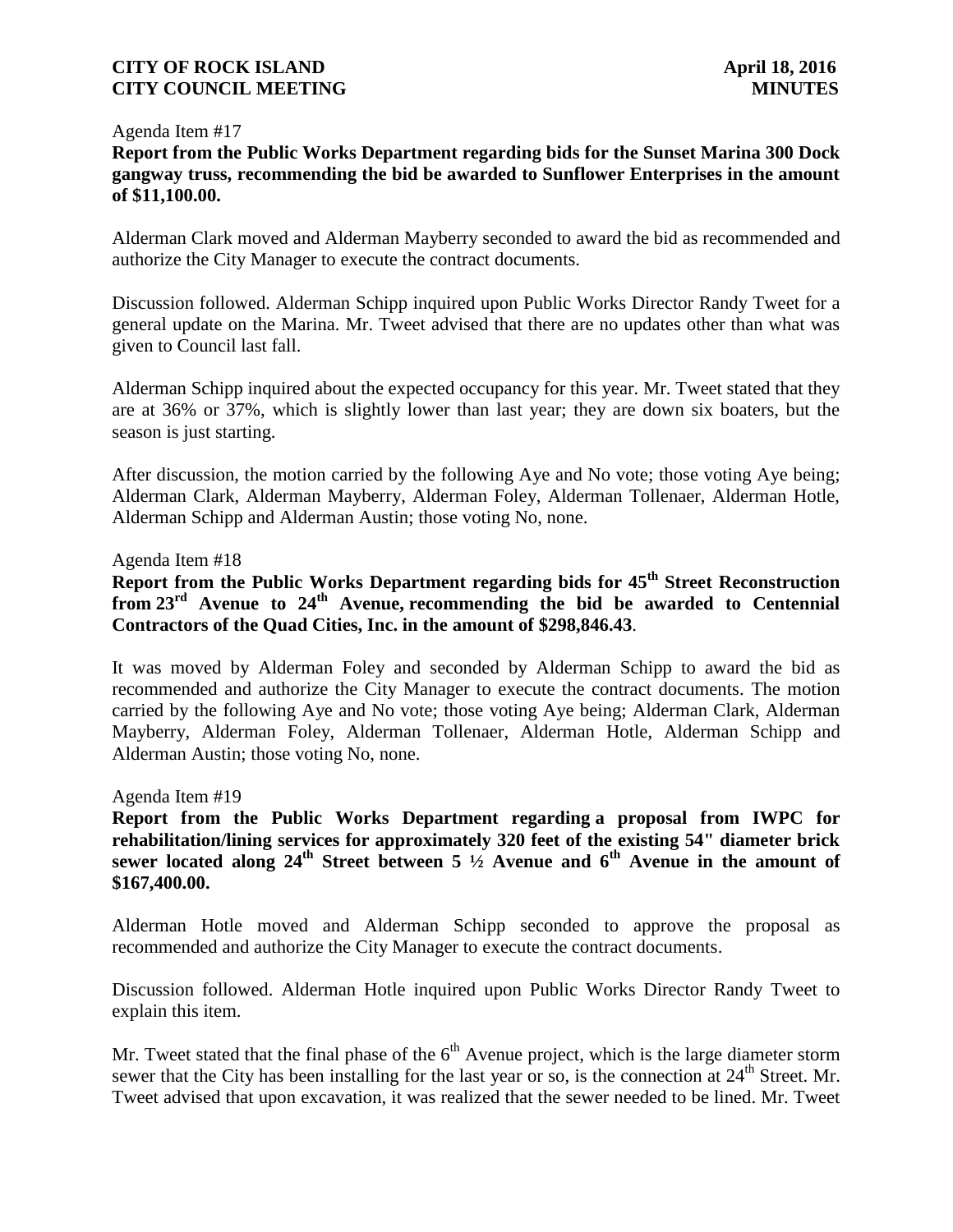#### Agenda Item #17

# **Report from the Public Works Department regarding bids for the Sunset Marina 300 Dock gangway truss, recommending the bid be awarded to Sunflower Enterprises in the amount of \$11,100.00.**

Alderman Clark moved and Alderman Mayberry seconded to award the bid as recommended and authorize the City Manager to execute the contract documents.

Discussion followed. Alderman Schipp inquired upon Public Works Director Randy Tweet for a general update on the Marina. Mr. Tweet advised that there are no updates other than what was given to Council last fall.

Alderman Schipp inquired about the expected occupancy for this year. Mr. Tweet stated that they are at 36% or 37%, which is slightly lower than last year; they are down six boaters, but the season is just starting.

After discussion, the motion carried by the following Aye and No vote; those voting Aye being; Alderman Clark, Alderman Mayberry, Alderman Foley, Alderman Tollenaer, Alderman Hotle, Alderman Schipp and Alderman Austin; those voting No, none.

#### Agenda Item #18

# **Report from the Public Works Department regarding bids for 45th Street Reconstruction from 23rd Avenue to 24th Avenue, recommending the bid be awarded to Centennial Contractors of the Quad Cities, Inc. in the amount of \$298,846.43**.

It was moved by Alderman Foley and seconded by Alderman Schipp to award the bid as recommended and authorize the City Manager to execute the contract documents. The motion carried by the following Aye and No vote; those voting Aye being; Alderman Clark, Alderman Mayberry, Alderman Foley, Alderman Tollenaer, Alderman Hotle, Alderman Schipp and Alderman Austin; those voting No, none.

#### Agenda Item #19

**Report from the Public Works Department regarding a proposal from IWPC for rehabilitation/lining services for approximately 320 feet of the existing 54" diameter brick sewer located along 24th Street between 5 ½ Avenue and 6th Avenue in the amount of \$167,400.00.**

Alderman Hotle moved and Alderman Schipp seconded to approve the proposal as recommended and authorize the City Manager to execute the contract documents.

Discussion followed. Alderman Hotle inquired upon Public Works Director Randy Tweet to explain this item.

Mr. Tweet stated that the final phase of the  $6<sup>th</sup>$  Avenue project, which is the large diameter storm sewer that the City has been installing for the last year or so, is the connection at  $24<sup>th</sup>$  Street. Mr. Tweet advised that upon excavation, it was realized that the sewer needed to be lined. Mr. Tweet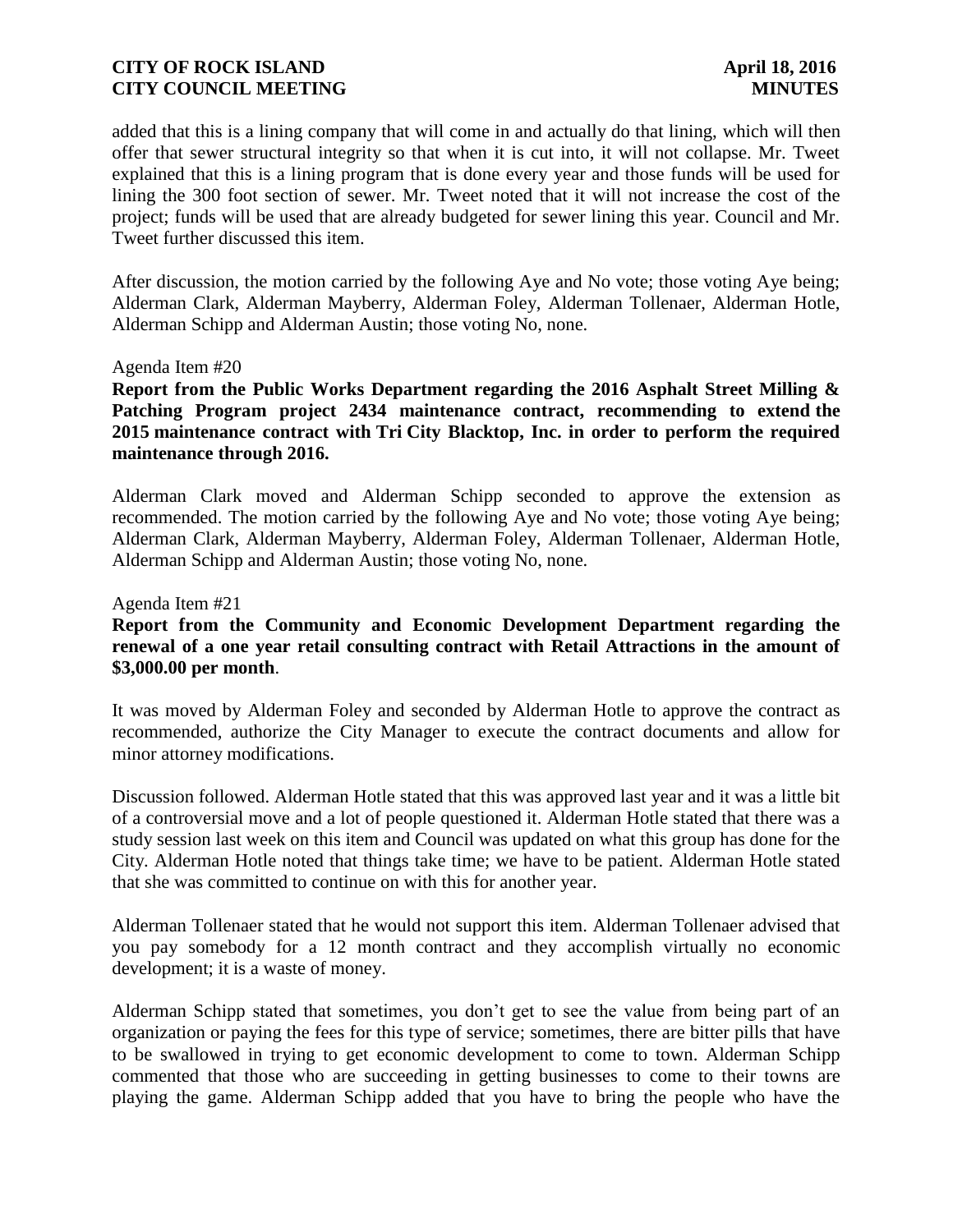added that this is a lining company that will come in and actually do that lining, which will then offer that sewer structural integrity so that when it is cut into, it will not collapse. Mr. Tweet explained that this is a lining program that is done every year and those funds will be used for lining the 300 foot section of sewer. Mr. Tweet noted that it will not increase the cost of the project; funds will be used that are already budgeted for sewer lining this year. Council and Mr. Tweet further discussed this item.

After discussion, the motion carried by the following Aye and No vote; those voting Aye being; Alderman Clark, Alderman Mayberry, Alderman Foley, Alderman Tollenaer, Alderman Hotle, Alderman Schipp and Alderman Austin; those voting No, none.

#### Agenda Item #20

**Report from the Public Works Department regarding the 2016 Asphalt Street Milling & Patching Program project 2434 maintenance contract, recommending to extend the 2015 maintenance contract with Tri City Blacktop, Inc. in order to perform the required maintenance through 2016.**

Alderman Clark moved and Alderman Schipp seconded to approve the extension as recommended. The motion carried by the following Aye and No vote; those voting Aye being; Alderman Clark, Alderman Mayberry, Alderman Foley, Alderman Tollenaer, Alderman Hotle, Alderman Schipp and Alderman Austin; those voting No, none.

Agenda Item #21

# **Report from the Community and Economic Development Department regarding the renewal of a one year retail consulting contract with Retail Attractions in the amount of \$3,000.00 per month**.

It was moved by Alderman Foley and seconded by Alderman Hotle to approve the contract as recommended, authorize the City Manager to execute the contract documents and allow for minor attorney modifications.

Discussion followed. Alderman Hotle stated that this was approved last year and it was a little bit of a controversial move and a lot of people questioned it. Alderman Hotle stated that there was a study session last week on this item and Council was updated on what this group has done for the City. Alderman Hotle noted that things take time; we have to be patient. Alderman Hotle stated that she was committed to continue on with this for another year.

Alderman Tollenaer stated that he would not support this item. Alderman Tollenaer advised that you pay somebody for a 12 month contract and they accomplish virtually no economic development; it is a waste of money.

Alderman Schipp stated that sometimes, you don't get to see the value from being part of an organization or paying the fees for this type of service; sometimes, there are bitter pills that have to be swallowed in trying to get economic development to come to town. Alderman Schipp commented that those who are succeeding in getting businesses to come to their towns are playing the game. Alderman Schipp added that you have to bring the people who have the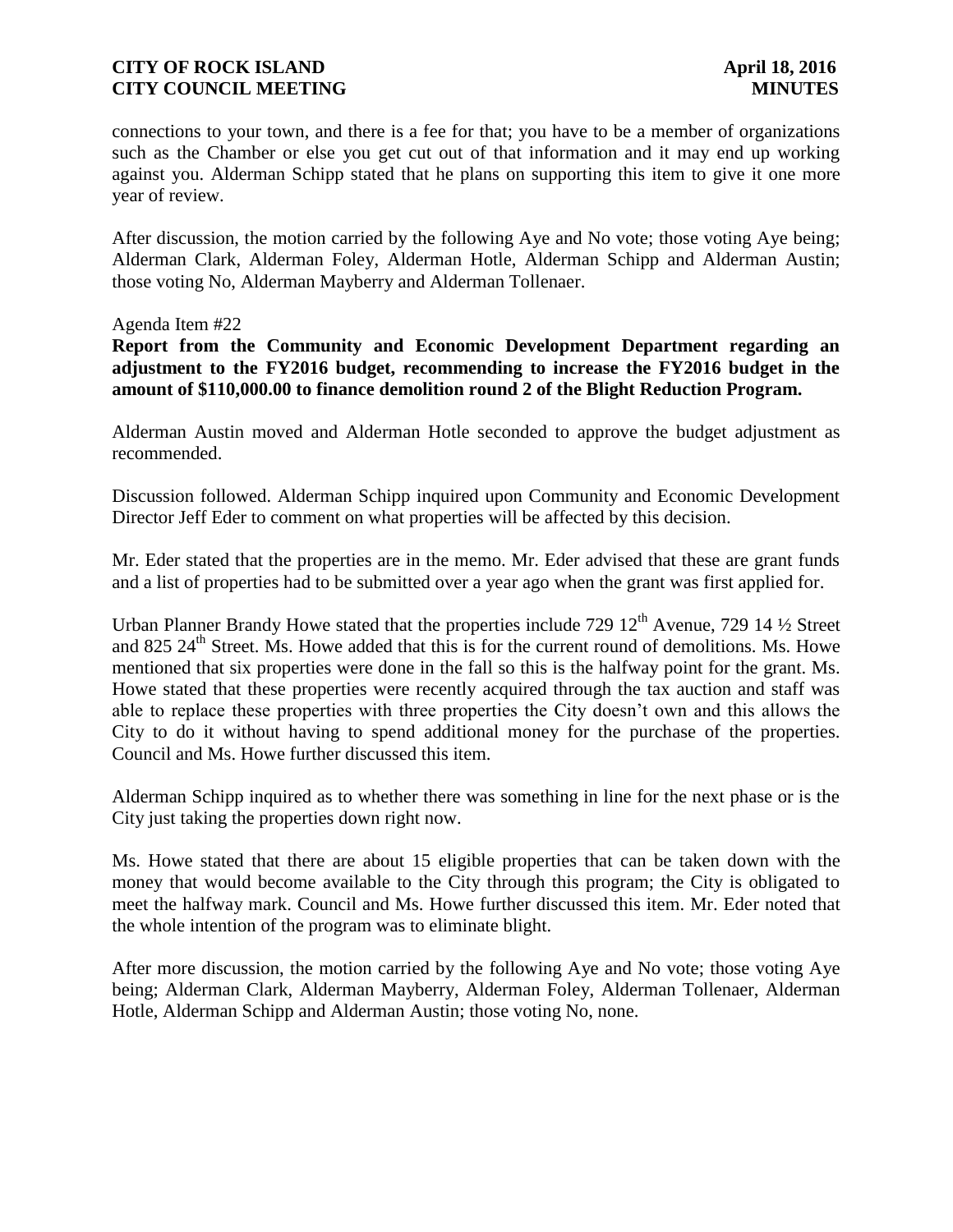connections to your town, and there is a fee for that; you have to be a member of organizations such as the Chamber or else you get cut out of that information and it may end up working against you. Alderman Schipp stated that he plans on supporting this item to give it one more year of review.

After discussion, the motion carried by the following Aye and No vote; those voting Aye being; Alderman Clark, Alderman Foley, Alderman Hotle, Alderman Schipp and Alderman Austin; those voting No, Alderman Mayberry and Alderman Tollenaer.

#### Agenda Item #22

**Report from the Community and Economic Development Department regarding an adjustment to the FY2016 budget, recommending to increase the FY2016 budget in the amount of \$110,000.00 to finance demolition round 2 of the Blight Reduction Program.** 

Alderman Austin moved and Alderman Hotle seconded to approve the budget adjustment as recommended.

Discussion followed. Alderman Schipp inquired upon Community and Economic Development Director Jeff Eder to comment on what properties will be affected by this decision.

Mr. Eder stated that the properties are in the memo. Mr. Eder advised that these are grant funds and a list of properties had to be submitted over a year ago when the grant was first applied for.

Urban Planner Brandy Howe stated that the properties include 729  $12<sup>th</sup>$  Avenue, 729  $14\frac{1}{2}$  Street and 825  $24<sup>th</sup>$  Street. Ms. Howe added that this is for the current round of demolitions. Ms. Howe mentioned that six properties were done in the fall so this is the halfway point for the grant. Ms. Howe stated that these properties were recently acquired through the tax auction and staff was able to replace these properties with three properties the City doesn't own and this allows the City to do it without having to spend additional money for the purchase of the properties. Council and Ms. Howe further discussed this item.

Alderman Schipp inquired as to whether there was something in line for the next phase or is the City just taking the properties down right now.

Ms. Howe stated that there are about 15 eligible properties that can be taken down with the money that would become available to the City through this program; the City is obligated to meet the halfway mark. Council and Ms. Howe further discussed this item. Mr. Eder noted that the whole intention of the program was to eliminate blight.

After more discussion, the motion carried by the following Aye and No vote; those voting Aye being; Alderman Clark, Alderman Mayberry, Alderman Foley, Alderman Tollenaer, Alderman Hotle, Alderman Schipp and Alderman Austin; those voting No, none.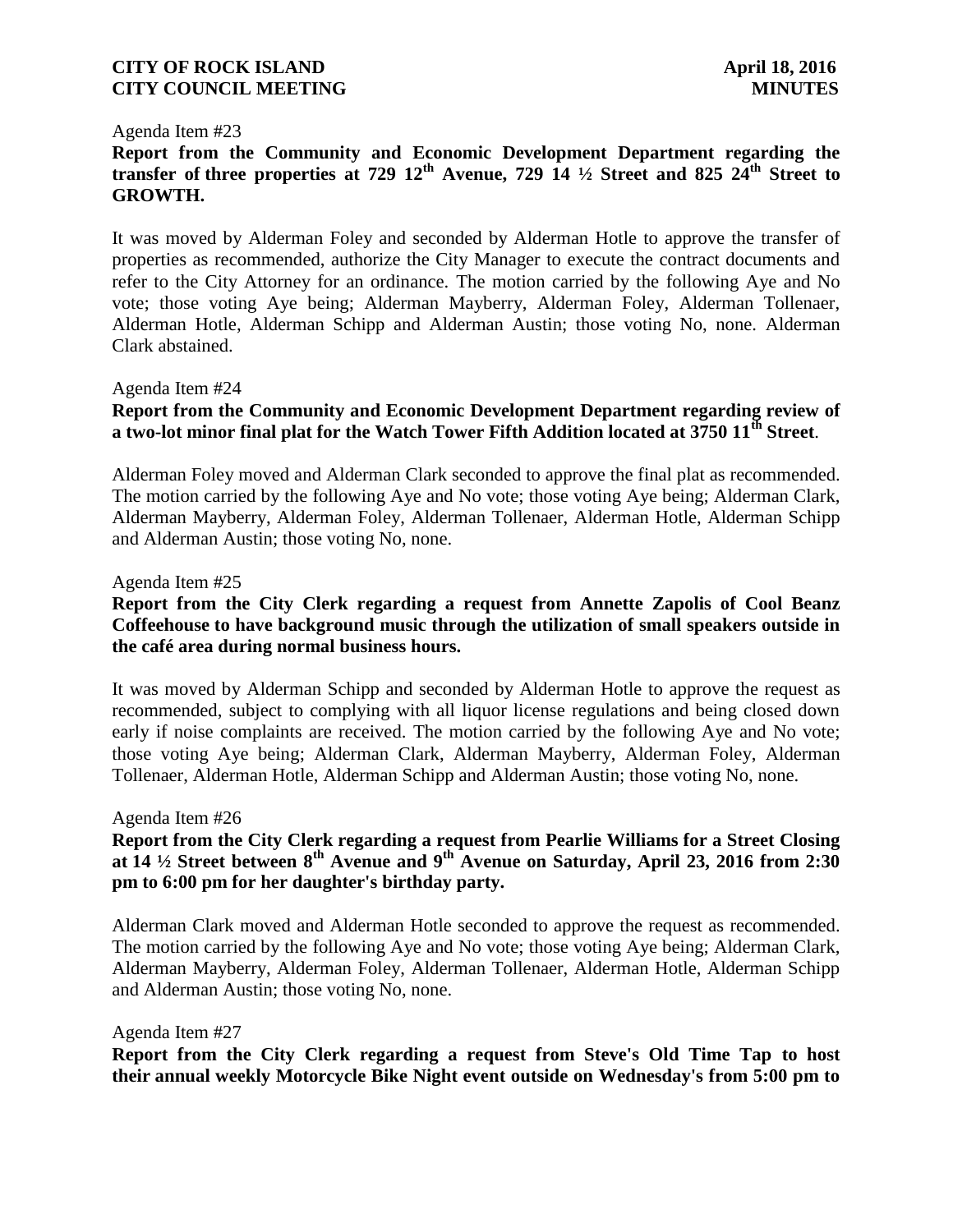#### Agenda Item #23

# **Report from the Community and Economic Development Department regarding the transfer of three properties at 729 12th Avenue, 729 14 ½ Street and 825 24th Street to GROWTH.**

It was moved by Alderman Foley and seconded by Alderman Hotle to approve the transfer of properties as recommended, authorize the City Manager to execute the contract documents and refer to the City Attorney for an ordinance. The motion carried by the following Aye and No vote; those voting Aye being; Alderman Mayberry, Alderman Foley, Alderman Tollenaer, Alderman Hotle, Alderman Schipp and Alderman Austin; those voting No, none. Alderman Clark abstained.

#### Agenda Item #24

### **Report from the Community and Economic Development Department regarding review of a two-lot minor final plat for the Watch Tower Fifth Addition located at 3750 11th Street**.

Alderman Foley moved and Alderman Clark seconded to approve the final plat as recommended. The motion carried by the following Aye and No vote; those voting Aye being; Alderman Clark, Alderman Mayberry, Alderman Foley, Alderman Tollenaer, Alderman Hotle, Alderman Schipp and Alderman Austin; those voting No, none.

#### Agenda Item #25

### **Report from the City Clerk regarding a request from Annette Zapolis of Cool Beanz Coffeehouse to have background music through the utilization of small speakers outside in the café area during normal business hours.**

It was moved by Alderman Schipp and seconded by Alderman Hotle to approve the request as recommended, subject to complying with all liquor license regulations and being closed down early if noise complaints are received. The motion carried by the following Aye and No vote; those voting Aye being; Alderman Clark, Alderman Mayberry, Alderman Foley, Alderman Tollenaer, Alderman Hotle, Alderman Schipp and Alderman Austin; those voting No, none.

#### Agenda Item #26

# **Report from the City Clerk regarding a request from Pearlie Williams for a Street Closing at 14 ½ Street between 8th Avenue and 9th Avenue on Saturday, April 23, 2016 from 2:30 pm to 6:00 pm for her daughter's birthday party.**

Alderman Clark moved and Alderman Hotle seconded to approve the request as recommended. The motion carried by the following Aye and No vote; those voting Aye being; Alderman Clark, Alderman Mayberry, Alderman Foley, Alderman Tollenaer, Alderman Hotle, Alderman Schipp and Alderman Austin; those voting No, none.

#### Agenda Item #27

**Report from the City Clerk regarding a request from Steve's Old Time Tap to host their annual weekly Motorcycle Bike Night event outside on Wednesday's from 5:00 pm to**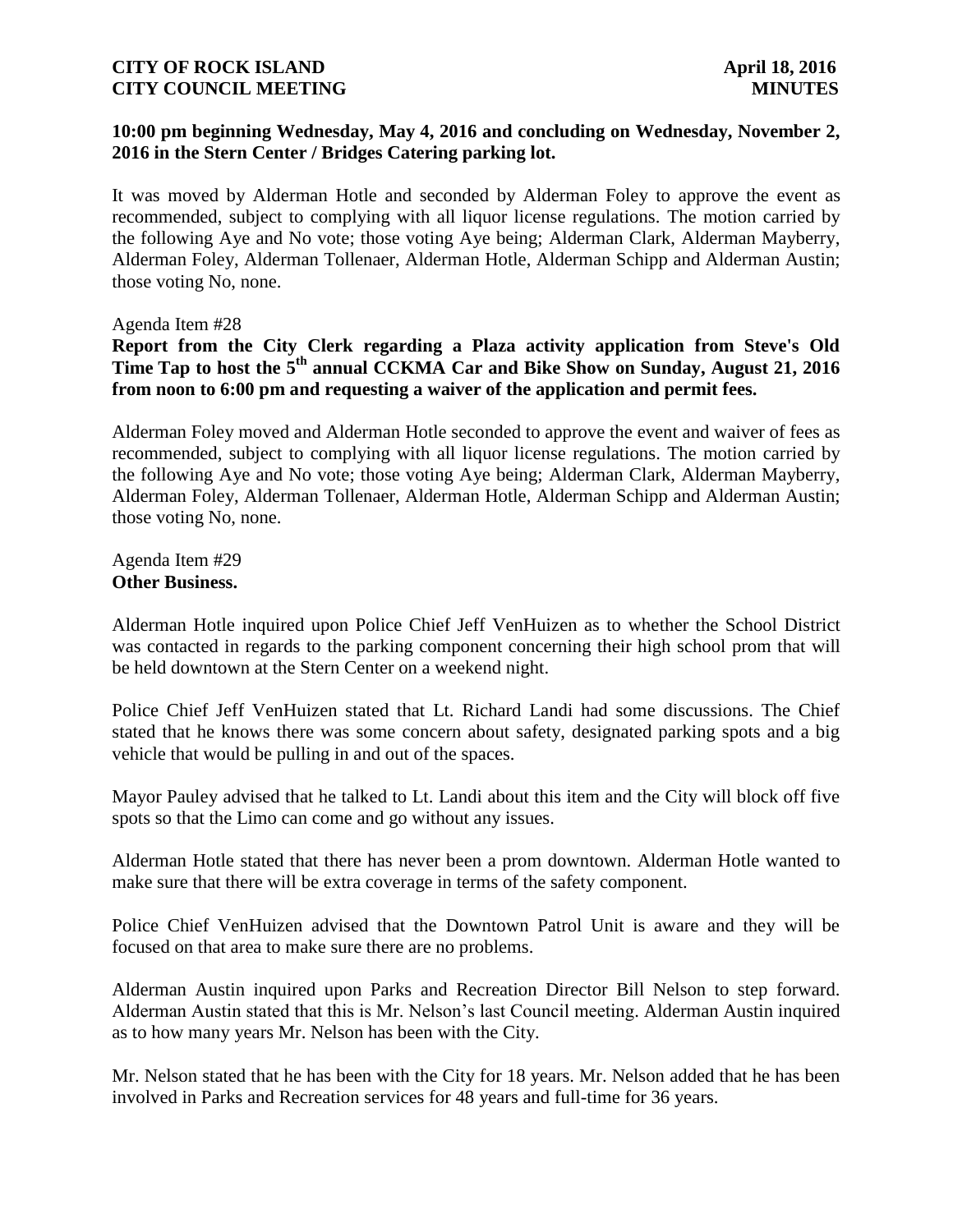### **10:00 pm beginning Wednesday, May 4, 2016 and concluding on Wednesday, November 2, 2016 in the Stern Center / Bridges Catering parking lot.**

It was moved by Alderman Hotle and seconded by Alderman Foley to approve the event as recommended, subject to complying with all liquor license regulations. The motion carried by the following Aye and No vote; those voting Aye being; Alderman Clark, Alderman Mayberry, Alderman Foley, Alderman Tollenaer, Alderman Hotle, Alderman Schipp and Alderman Austin; those voting No, none.

Agenda Item #28

# **Report from the City Clerk regarding a Plaza activity application from Steve's Old Time Tap to host the 5th annual CCKMA Car and Bike Show on Sunday, August 21, 2016 from noon to 6:00 pm and requesting a waiver of the application and permit fees.**

Alderman Foley moved and Alderman Hotle seconded to approve the event and waiver of fees as recommended, subject to complying with all liquor license regulations. The motion carried by the following Aye and No vote; those voting Aye being; Alderman Clark, Alderman Mayberry, Alderman Foley, Alderman Tollenaer, Alderman Hotle, Alderman Schipp and Alderman Austin; those voting No, none.

Agenda Item #29 **Other Business.**

Alderman Hotle inquired upon Police Chief Jeff VenHuizen as to whether the School District was contacted in regards to the parking component concerning their high school prom that will be held downtown at the Stern Center on a weekend night.

Police Chief Jeff VenHuizen stated that Lt. Richard Landi had some discussions. The Chief stated that he knows there was some concern about safety, designated parking spots and a big vehicle that would be pulling in and out of the spaces.

Mayor Pauley advised that he talked to Lt. Landi about this item and the City will block off five spots so that the Limo can come and go without any issues.

Alderman Hotle stated that there has never been a prom downtown. Alderman Hotle wanted to make sure that there will be extra coverage in terms of the safety component.

Police Chief VenHuizen advised that the Downtown Patrol Unit is aware and they will be focused on that area to make sure there are no problems.

Alderman Austin inquired upon Parks and Recreation Director Bill Nelson to step forward. Alderman Austin stated that this is Mr. Nelson's last Council meeting. Alderman Austin inquired as to how many years Mr. Nelson has been with the City.

Mr. Nelson stated that he has been with the City for 18 years. Mr. Nelson added that he has been involved in Parks and Recreation services for 48 years and full-time for 36 years.